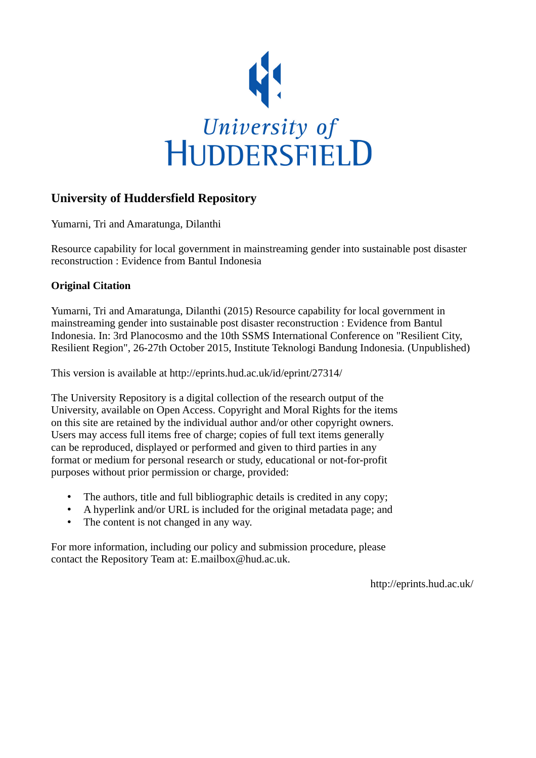

# **University of Huddersfield Repository**

Yumarni, Tri and Amaratunga, Dilanthi

Resource capability for local government in mainstreaming gender into sustainable post disaster reconstruction : Evidence from Bantul Indonesia

## **Original Citation**

Yumarni, Tri and Amaratunga, Dilanthi (2015) Resource capability for local government in mainstreaming gender into sustainable post disaster reconstruction : Evidence from Bantul Indonesia. In: 3rd Planocosmo and the 10th SSMS International Conference on "Resilient City, Resilient Region", 26-27th October 2015, Institute Teknologi Bandung Indonesia. (Unpublished)

This version is available at http://eprints.hud.ac.uk/id/eprint/27314/

The University Repository is a digital collection of the research output of the University, available on Open Access. Copyright and Moral Rights for the items on this site are retained by the individual author and/or other copyright owners. Users may access full items free of charge; copies of full text items generally can be reproduced, displayed or performed and given to third parties in any format or medium for personal research or study, educational or not-for-profit purposes without prior permission or charge, provided:

- The authors, title and full bibliographic details is credited in any copy;
- A hyperlink and/or URL is included for the original metadata page; and
- The content is not changed in any way.

For more information, including our policy and submission procedure, please contact the Repository Team at: E.mailbox@hud.ac.uk.

http://eprints.hud.ac.uk/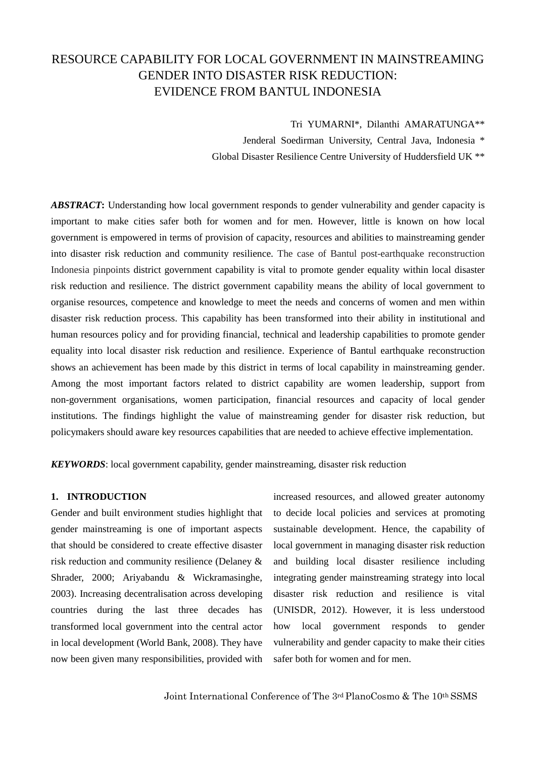# RESOURCE CAPABILITY FOR LOCAL GOVERNMENT IN MAINSTREAMING GENDER INTO DISASTER RISK REDUCTION: EVIDENCE FROM BANTUL INDONESIA

Tri YUMARNI\*, Dilanthi AMARATUNGA\*\*

Jenderal Soedirman University, Central Java, Indonesia \* Global Disaster Resilience Centre University of Huddersfield UK \*\*

ABSTRACT: Understanding how local government responds to gender vulnerability and gender capacity is important to make cities safer both for women and for men. However, little is known on how local government is empowered in terms of provision of capacity, resources and abilities to mainstreaming gender into disaster risk reduction and community resilience. The case of Bantul post-earthquake reconstruction Indonesia pinpoints district government capability is vital to promote gender equality within local disaster risk reduction and resilience. The district government capability means the ability of local government to organise resources, competence and knowledge to meet the needs and concerns of women and men within disaster risk reduction process. This capability has been transformed into their ability in institutional and human resources policy and for providing financial, technical and leadership capabilities to promote gender equality into local disaster risk reduction and resilience. Experience of Bantul earthquake reconstruction shows an achievement has been made by this district in terms of local capability in mainstreaming gender. Among the most important factors related to district capability are women leadership, support from non-government organisations, women participation, financial resources and capacity of local gender institutions. The findings highlight the value of mainstreaming gender for disaster risk reduction, but policymakers should aware key resources capabilities that are needed to achieve effective implementation.

*KEYWORDS*: local government capability, gender mainstreaming, disaster risk reduction

#### **1. INTRODUCTION**

Gender and built environment studies highlight that gender mainstreaming is one of important aspects that should be considered to create effective disaster risk reduction and community resilience (Delaney & Shrader, 2000; Ariyabandu & Wickramasinghe, 2003). Increasing decentralisation across developing countries during the last three decades has transformed local government into the central actor in local development (World Bank, 2008). They have now been given many responsibilities, provided with

increased resources, and allowed greater autonomy to decide local policies and services at promoting sustainable development. Hence, the capability of local government in managing disaster risk reduction and building local disaster resilience including integrating gender mainstreaming strategy into local disaster risk reduction and resilience is vital (UNISDR, 2012). However, it is less understood how local government responds to gender vulnerability and gender capacity to make their cities safer both for women and for men.

Joint International Conference of The 3rd PlanoCosmo & The 10th SSMS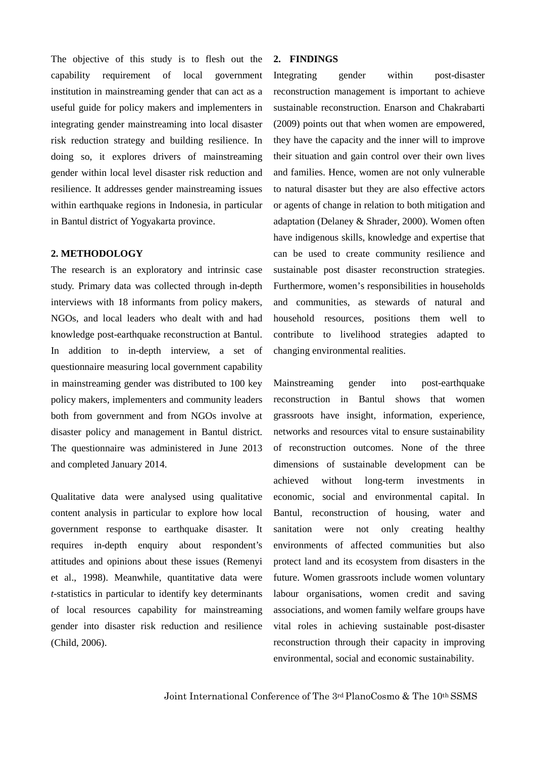The objective of this study is to flesh out the capability requirement of local government institution in mainstreaming gender that can act as a useful guide for policy makers and implementers in integrating gender mainstreaming into local disaster risk reduction strategy and building resilience. In doing so, it explores drivers of mainstreaming gender within local level disaster risk reduction and resilience. It addresses gender mainstreaming issues within earthquake regions in Indonesia, in particular in Bantul district of Yogyakarta province.

#### **2. METHODOLOGY**

The research is an exploratory and intrinsic case study. Primary data was collected through in-depth interviews with 18 informants from policy makers, NGOs, and local leaders who dealt with and had knowledge post-earthquake reconstruction at Bantul. In addition to in-depth interview, a set of questionnaire measuring local government capability in mainstreaming gender was distributed to 100 key policy makers, implementers and community leaders both from government and from NGOs involve at disaster policy and management in Bantul district. The questionnaire was administered in June 2013 and completed January 2014.

Qualitative data were analysed using qualitative content analysis in particular to explore how local government response to earthquake disaster. It requires in-depth enquiry about respondent's attitudes and opinions about these issues (Remenyi et al., 1998). Meanwhile, quantitative data were *t*-statistics in particular to identify key determinants of local resources capability for mainstreaming gender into disaster risk reduction and resilience (Child, 2006).

### **2. FINDINGS**

Integrating gender within post-disaster reconstruction management is important to achieve sustainable reconstruction. Enarson and Chakrabarti (2009) points out that when women are empowered, they have the capacity and the inner will to improve their situation and gain control over their own lives and families. Hence, women are not only vulnerable to natural disaster but they are also effective actors or agents of change in relation to both mitigation and adaptation (Delaney & Shrader, 2000). Women often have indigenous skills, knowledge and expertise that can be used to create community resilience and sustainable post disaster reconstruction strategies. Furthermore, women's responsibilities in households and communities, as stewards of natural and household resources, positions them well to contribute to livelihood strategies adapted to changing environmental realities.

Mainstreaming gender into post-earthquake reconstruction in Bantul shows that women grassroots have insight, information, experience, networks and resources vital to ensure sustainability of reconstruction outcomes. None of the three dimensions of sustainable development can be achieved without long-term investments in economic, social and environmental capital. In Bantul, reconstruction of housing, water and sanitation were not only creating healthy environments of affected communities but also protect land and its ecosystem from disasters in the future. Women grassroots include women voluntary labour organisations, women credit and saving associations, and women family welfare groups have vital roles in achieving sustainable post-disaster reconstruction through their capacity in improving environmental, social and economic sustainability.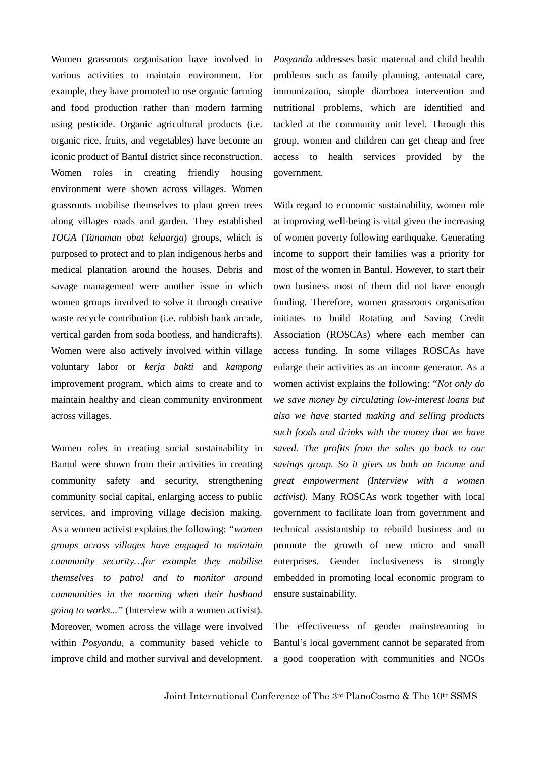Women grassroots organisation have involved in various activities to maintain environment. For example, they have promoted to use organic farming and food production rather than modern farming using pesticide. Organic agricultural products (i.e. organic rice, fruits, and vegetables) have become an iconic product of Bantul district since reconstruction. Women roles in creating friendly housing environment were shown across villages. Women grassroots mobilise themselves to plant green trees along villages roads and garden. They established *TOGA* (*Tanaman obat keluarga*) groups, which is purposed to protect and to plan indigenous herbs and medical plantation around the houses. Debris and savage management were another issue in which women groups involved to solve it through creative waste recycle contribution (i.e. rubbish bank arcade, vertical garden from soda bootless, and handicrafts). Women were also actively involved within village voluntary labor or *kerja bakti* and *kampong* improvement program, which aims to create and to maintain healthy and clean community environment across villages.

Women roles in creating social sustainability in Bantul were shown from their activities in creating community safety and security, strengthening community social capital, enlarging access to public services, and improving village decision making. As a women activist explains the following: *"women groups across villages have engaged to maintain community security…for example they mobilise themselves to patrol and to monitor around communities in the morning when their husband going to works..."* (Interview with a women activist). Moreover, women across the village were involved within *Posyandu*, a community based vehicle to improve child and mother survival and development. *Posyandu* addresses basic maternal and child health problems such as family planning, antenatal care, immunization, simple diarrhoea intervention and nutritional problems, which are identified and tackled at the community unit level. Through this group, women and children can get cheap and free access to health services provided by the government.

With regard to economic sustainability, women role at improving well-being is vital given the increasing of women poverty following earthquake. Generating income to support their families was a priority for most of the women in Bantul. However, to start their own business most of them did not have enough funding. Therefore, women grassroots organisation initiates to build Rotating and Saving Credit Association (ROSCAs) where each member can access funding. In some villages ROSCAs have enlarge their activities as an income generator. As a women activist explains the following: "*Not only do we save money by circulating low-interest loans but also we have started making and selling products such foods and drinks with the money that we have saved. The profits from the sales go back to our savings group. So it gives us both an income and great empowerment (Interview with a women activist).* Many ROSCAs work together with local government to facilitate loan from government and technical assistantship to rebuild business and to promote the growth of new micro and small enterprises. Gender inclusiveness is strongly embedded in promoting local economic program to ensure sustainability.

The effectiveness of gender mainstreaming in Bantul's local government cannot be separated from a good cooperation with communities and NGOs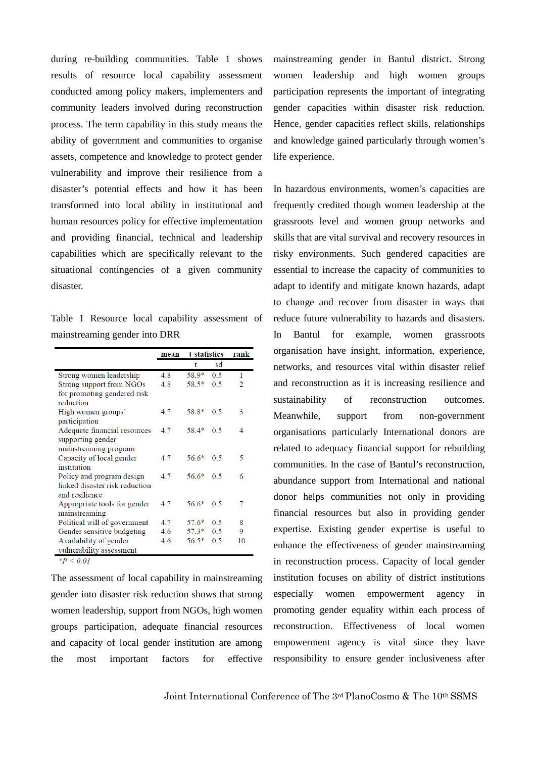during re-building communities. Table 1 shows results of resource local capability assessment conducted among policy makers, implementers and community leaders involved during reconstruction process. The term capability in this study means the ability of government and communities to organise assets, competence and knowledge to protect gender vulnerability and improve their resilience from a disaster's potential effects and how it has been transformed into local ability in institutional and human resources policy for effective implementation and providing financial, technical and leadership capabilities which are specifically relevant to the situational contingencies of a given community disaster.

Table 1 Resource local capability assessment of mainstreaming gender into DRR

| mean | t-statistics |     | rank |
|------|--------------|-----|------|
|      | t            | sd  |      |
| 4.8  | 58.9*        | 0.5 | 1    |
| 4.8  | $58.5*$      | 0.5 | 2    |
|      |              |     |      |
|      |              |     |      |
| 4.7  | 58.8*        | 0.5 | 3    |
|      |              |     |      |
| 4.7  | $58.4*$      | 0.5 | 4    |
|      |              |     |      |
|      |              |     |      |
| 4.7  | $56.6*$      | 0.5 | 5    |
|      |              |     |      |
| 4.7  | $56.6*$      | 0.5 | 6    |
|      |              |     |      |
|      |              |     |      |
| 4.7  | $56.6*$      | 0.5 | 7    |
|      |              |     |      |
| 4.7  | $57.6*$      | 0.5 | 8    |
| 4.6  | $57.3*$      | 0.5 | 9    |
| 4.6  | $56.5*$      | 0.5 | 10   |
|      |              |     |      |
|      |              |     |      |

 $*P < 0.01$ 

The assessment of local capability in mainstreaming gender into disaster risk reduction shows that strong women leadership, support from NGOs, high women groups participation, adequate financial resources and capacity of local gender institution are among the most important factors for effective

mainstreaming gender in Bantul district. Strong women leadership and high women groups participation represents the important of integrating gender capacities within disaster risk reduction. Hence, gender capacities reflect skills, relationships and knowledge gained particularly through women's life experience.

In hazardous environments, women's capacities are frequently credited though women leadership at the grassroots level and women group networks and skills that are vital survival and recovery resources in risky environments. Such gendered capacities are essential to increase the capacity of communities to adapt to identify and mitigate known hazards, adapt to change and recover from disaster in ways that reduce future vulnerability to hazards and disasters. In Bantul for example, women grassroots organisation have insight, information, experience, networks, and resources vital within disaster relief and reconstruction as it is increasing resilience and sustainability of reconstruction outcomes. Meanwhile, support from non-government organisations particularly International donors are related to adequacy financial support for rebuilding communities. In the case of Bantul's reconstruction, abundance support from International and national donor helps communities not only in providing financial resources but also in providing gender expertise. Existing gender expertise is useful to enhance the effectiveness of gender mainstreaming in reconstruction process. Capacity of local gender institution focuses on ability of district institutions especially women empowerment agency in promoting gender equality within each process of reconstruction. Effectiveness of local women empowerment agency is vital since they have responsibility to ensure gender inclusiveness after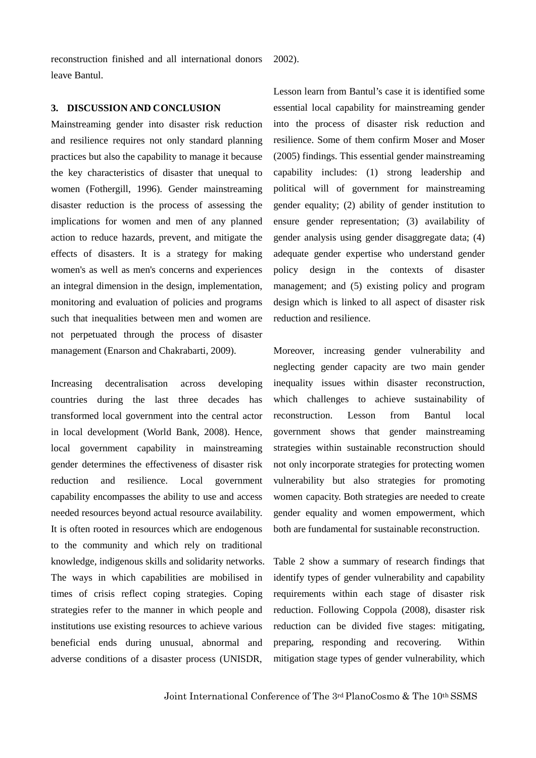reconstruction finished and all international donors leave Bantul.

2002).

#### **3. DISCUSSION AND CONCLUSION**

Mainstreaming gender into disaster risk reduction and resilience requires not only standard planning practices but also the capability to manage it because the key characteristics of disaster that unequal to women (Fothergill, 1996). Gender mainstreaming disaster reduction is the process of assessing the implications for women and men of any planned action to reduce hazards, prevent, and mitigate the effects of disasters. It is a strategy for making women's as well as men's concerns and experiences an integral dimension in the design, implementation, monitoring and evaluation of policies and programs such that inequalities between men and women are not perpetuated through the process of disaster management (Enarson and Chakrabarti, 2009).

Increasing decentralisation across developing countries during the last three decades has transformed local government into the central actor in local development (World Bank, 2008). Hence, local government capability in mainstreaming gender determines the effectiveness of disaster risk reduction and resilience. Local government capability encompasses the ability to use and access needed resources beyond actual resource availability. It is often rooted in resources which are endogenous to the community and which rely on traditional knowledge, indigenous skills and solidarity networks. The ways in which capabilities are mobilised in times of crisis reflect coping strategies. Coping strategies refer to the manner in which people and institutions use existing resources to achieve various beneficial ends during unusual, abnormal and adverse conditions of a disaster process (UNISDR,

Lesson learn from Bantul's case it is identified some essential local capability for mainstreaming gender into the process of disaster risk reduction and resilience. Some of them confirm Moser and Moser (2005) findings. This essential gender mainstreaming capability includes: (1) strong leadership and political will of government for mainstreaming gender equality; (2) ability of gender institution to ensure gender representation; (3) availability of gender analysis using gender disaggregate data; (4) adequate gender expertise who understand gender policy design in the contexts of disaster management; and (5) existing policy and program design which is linked to all aspect of disaster risk reduction and resilience.

Moreover, increasing gender vulnerability and neglecting gender capacity are two main gender inequality issues within disaster reconstruction, which challenges to achieve sustainability of reconstruction. Lesson from Bantul local government shows that gender mainstreaming strategies within sustainable reconstruction should not only incorporate strategies for protecting women vulnerability but also strategies for promoting women capacity. Both strategies are needed to create gender equality and women empowerment, which both are fundamental for sustainable reconstruction.

Table 2 show a summary of research findings that identify types of gender vulnerability and capability requirements within each stage of disaster risk reduction. Following Coppola (2008), disaster risk reduction can be divided five stages: mitigating, preparing, responding and recovering. Within mitigation stage types of gender vulnerability, which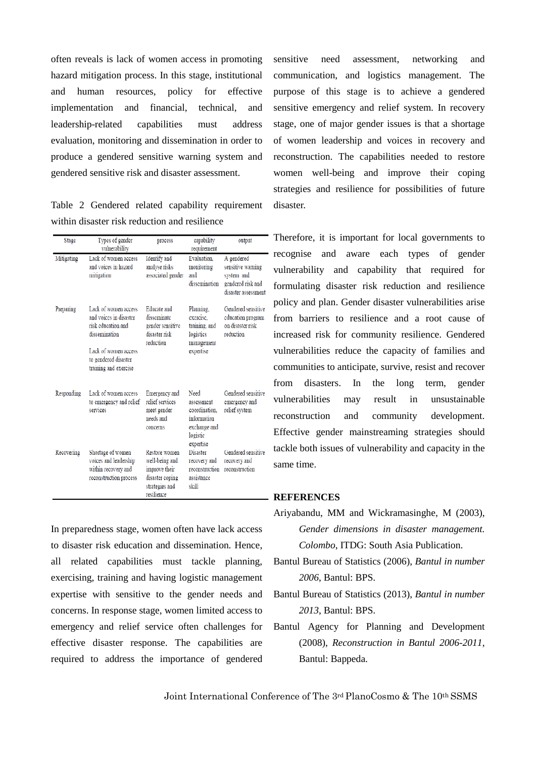often reveals is lack of women access in promoting hazard mitigation process. In this stage, institutional and human resources, policy for effective implementation and financial, technical, and leadership-related capabilities must address evaluation, monitoring and dissemination in order to produce a gendered sensitive warning system and gendered sensitive risk and disaster assessment.

Table 2 Gendered related capability requirement within disaster risk reduction and resilience

| Stage      | Types of gender<br>vulnerability                                                                                                                               | process                                                                                             | capability<br>requirement                                                                   | output                                                                                    |
|------------|----------------------------------------------------------------------------------------------------------------------------------------------------------------|-----------------------------------------------------------------------------------------------------|---------------------------------------------------------------------------------------------|-------------------------------------------------------------------------------------------|
| Mitigating | Lack of women access<br>and voices in hazard<br>mitigation                                                                                                     | Identify and<br>analyse risks<br>associated gender                                                  | Evaluation.<br>monitoring<br>and<br>dissemination                                           | A gendered<br>sensitive warning<br>system and<br>gendered risk and<br>disaster assessment |
| Preparing  | Lack of women access<br>and voices in disaster<br>risk education and<br>dissemination<br>Lack of women access<br>to gendered disaster<br>training and exercise | <b>Educate</b> and<br>disseminate<br>gender sensitive<br>disaster risk<br>reduction                 | Planning.<br>exercise.<br>training, and<br>logistics<br>management<br>expertise             | Gendered sensitive<br>education program<br>on disaster risk<br>reduction                  |
| Responding | Lack of women access<br>to emergency and relief<br>services                                                                                                    | Emergency and<br>relief services<br>meet gender<br>needs and<br>concerns                            | Need<br>assessment<br>coordination.<br>information<br>exchange and<br>logistic<br>expertise | Gendered sensitive<br>emergency and<br>relief system                                      |
| Recovering | Shortage of women<br>voices and leadership<br>within recovery and<br>reconstruction process                                                                    | Restore women<br>well-being and<br>improve their<br>disaster coping<br>strategies and<br>resilience | Disaster<br>recovery and<br>reconstruction<br>assistance<br>skill                           | Gendered sensitive<br>recovery and<br>reconstruction                                      |

In preparedness stage, women often have lack access to disaster risk education and dissemination. Hence, all related capabilities must tackle planning, exercising, training and having logistic management expertise with sensitive to the gender needs and concerns. In response stage, women limited access to emergency and relief service often challenges for effective disaster response. The capabilities are required to address the importance of gendered sensitive need assessment, networking and communication, and logistics management. The purpose of this stage is to achieve a gendered sensitive emergency and relief system. In recovery stage, one of major gender issues is that a shortage of women leadership and voices in recovery and reconstruction. The capabilities needed to restore women well-being and improve their coping strategies and resilience for possibilities of future disaster.

Therefore, it is important for local governments to recognise and aware each types of gender vulnerability and capability that required for formulating disaster risk reduction and resilience policy and plan. Gender disaster vulnerabilities arise from barriers to resilience and a root cause of increased risk for community resilience. Gendered vulnerabilities reduce the capacity of families and communities to anticipate, survive, resist and recover from disasters. In the long term, gender vulnerabilities may result in unsustainable reconstruction and community development. Effective gender mainstreaming strategies should tackle both issues of vulnerability and capacity in the same time.

### **REFERENCES**

- Ariyabandu, MM and Wickramasinghe, M (2003), *Gender dimensions in disaster management. Colombo*, ITDG: South Asia Publication.
- Bantul Bureau of Statistics (2006), *Bantul in number 2006*, Bantul: BPS.
- Bantul Bureau of Statistics (2013), *Bantul in number 2013*, Bantul: BPS.
- Bantul Agency for Planning and Development (2008), *Reconstruction in Bantul 2006-2011*, Bantul: Bappeda.